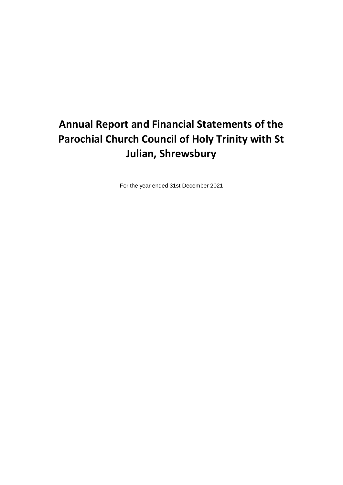# **Annual Report and Financial Statements of the Parochial Church Council of Holy Trinity with St Julian, Shrewsbury**

For the year ended 31st December 2021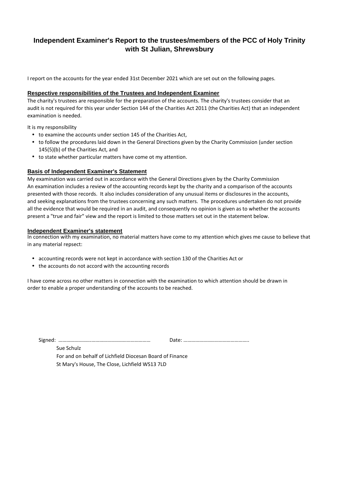## **Independent Examiner's Report to the trustees/members of the PCC of Holy Trinity with St Julian, Shrewsbury**

I report on the accounts for the year ended 31st December 2021 which are set out on the following pages.

### **Respective responsibilities of the Trustees and Independent Examiner**

The charity's trustees are responsible for the preparation of the accounts. The charity's trustees consider that an audit is not required for this year under Section 144 of the Charities Act 2011 (the Charities Act) that an independent examination is needed.

It is my responsibility

- to examine the accounts under section 145 of the Charities Act,
- to follow the procedures laid down in the General Directions given by the Charity Commission (under section 145(5)(b) of the Charities Act, and
- to state whether particular matters have come ot my attention.

### **Basis of Independent Examiner's Statement**

My examination was carried out in accordance with the General Directions given by the Charity Commission An examination includes a review of the accounting records kept by the charity and a comparison of the accounts presented with those records. It also includes consideration of any unusual items or disclosures in the accounts, and seeking explanations from the trustees concerning any such matters. The procedures undertaken do not provide all the evidence that would be required in an audit, and consequently no opinion is given as to whether the accounts present a "true and fair" view and the report is limited to those matters set out in the statement below.

### **Independent Examiner's statement**

In connection with my examination, no material matters have come to my attention which gives me cause to believe that in any material repsect:

- accounting records were not kept in accordance with section 130 of the Charities Act or
- the accounts do not accord with the accounting records

I have come across no other matters in connection with the examination to which attention should be drawn in order to enable a proper understanding of the accounts to be reached.

Signed: …………………….……………………………………… Date: …………………………………………..

Sue Schulz

For and on behalf of Lichfield Diocesan Board of Finance St Mary's House, The Close, Lichfield WS13 7LD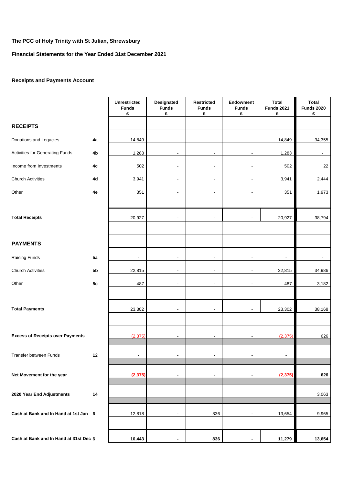### **Financial Statements for the Year Ended 31st December 2021**

### **Receipts and Payments Account**

|                                         |                | <b>Unrestricted</b><br><b>Funds</b><br>£ | Designated<br><b>Funds</b><br>£ | <b>Restricted</b><br><b>Funds</b><br>£ | Endowment<br><b>Funds</b><br>£ | <b>Total</b><br><b>Funds 2021</b><br>£ | <b>Total</b><br><b>Funds 2020</b><br>£ |
|-----------------------------------------|----------------|------------------------------------------|---------------------------------|----------------------------------------|--------------------------------|----------------------------------------|----------------------------------------|
| <b>RECEIPTS</b>                         |                |                                          |                                 |                                        |                                |                                        |                                        |
| Donations and Legacies                  | 4a             | 14,849                                   | $\overline{\phantom{a}}$        | $\overline{\phantom{a}}$               | $\overline{\phantom{a}}$       | 14,849                                 | 34,355                                 |
| <b>Activities for Generating Funds</b>  | 4b             | 1,283                                    |                                 | $\overline{\phantom{a}}$               | $\blacksquare$                 | 1,283                                  | $\frac{1}{2}$                          |
| Income from Investments                 | 4c             | 502                                      | $\blacksquare$                  | $\blacksquare$                         | $\overline{\phantom{a}}$       | 502                                    | 22                                     |
| <b>Church Activities</b>                | 4d             | 3,941                                    | $\blacksquare$                  | $\blacksquare$                         | $\blacksquare$                 | 3,941                                  | 2,444                                  |
| Other                                   | 4e             | 351                                      | $\blacksquare$                  | $\overline{\phantom{a}}$               | $\overline{\phantom{a}}$       | 351                                    | 1,973                                  |
|                                         |                |                                          |                                 |                                        |                                |                                        |                                        |
| <b>Total Receipts</b>                   |                | 20,927                                   |                                 | $\overline{\phantom{a}}$               | $\overline{\phantom{a}}$       | 20,927                                 | 38,794                                 |
| <b>PAYMENTS</b>                         |                |                                          |                                 |                                        |                                |                                        |                                        |
| Raising Funds                           | 5a             | $\blacksquare$                           | $\blacksquare$                  | $\blacksquare$                         | $\overline{\phantom{a}}$       | $\overline{\phantom{a}}$               | $\overline{\phantom{a}}$               |
| <b>Church Activities</b>                | 5 <sub>b</sub> | 22,815                                   |                                 | $\blacksquare$                         | $\blacksquare$                 | 22,815                                 | 34,986                                 |
| Other                                   | 5c             | 487                                      |                                 | $\overline{\phantom{a}}$               | $\overline{\phantom{a}}$       | 487                                    | 3,182                                  |
|                                         |                |                                          |                                 |                                        |                                |                                        |                                        |
| <b>Total Payments</b>                   |                | 23,302                                   | $\blacksquare$                  | $\overline{\phantom{a}}$               | $\overline{\phantom{a}}$       | 23,302                                 | 38,168                                 |
|                                         |                |                                          |                                 |                                        |                                |                                        |                                        |
| <b>Excess of Receipts over Payments</b> |                | (2, 375)                                 |                                 |                                        | ÷,                             | (2, 375)                               | 626                                    |
| Transfer between Funds                  | 12             |                                          |                                 |                                        |                                |                                        |                                        |
| Net Movement for the year               |                | (2, 375)                                 | $\blacksquare$                  | $\blacksquare$                         | $\blacksquare$                 | (2, 375)                               | 626                                    |
| 2020 Year End Adjustments               | 14             |                                          |                                 |                                        |                                |                                        | 3,063                                  |
| Cash at Bank and In Hand at 1st Jan 6   |                | 12,818                                   | $\blacksquare$                  | 836                                    | $\overline{\phantom{a}}$       | 13,654                                 | 9,965                                  |
| Cash at Bank and In Hand at 31st Dec 6  |                | 10,443                                   | $\blacksquare$                  | 836                                    | $\blacksquare$                 | 11,279                                 | 13,654                                 |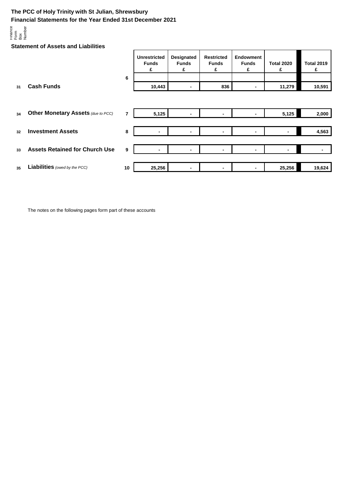### **The PCC of Holy Trinity with St Julian, Shrewsbury Financial Statements for the Year Ended 31st December 2021**



**Statement of Assets and Liabilities**

|    |                                           |    | <b>Unrestricted</b><br><b>Funds</b><br>£ | <b>Designated</b><br><b>Funds</b><br>£ | <b>Restricted</b><br><b>Funds</b><br>£ | <b>Endowment</b><br><b>Funds</b><br>£ | <b>Total 2020</b><br>£ | <b>Total 2019</b><br>£ |
|----|-------------------------------------------|----|------------------------------------------|----------------------------------------|----------------------------------------|---------------------------------------|------------------------|------------------------|
| 31 | <b>Cash Funds</b>                         | 6  | 10,443                                   | ٠                                      | 836                                    |                                       | 11,279                 | 10,591                 |
|    |                                           |    |                                          |                                        |                                        |                                       |                        |                        |
| 34 | <b>Other Monetary Assets (due to PCC)</b> | 7  | 5,125                                    |                                        | ٠                                      |                                       | 5,125                  | 2,000                  |
| 32 | <b>Investment Assets</b>                  | 8  | $\overline{\phantom{a}}$                 | $\overline{\phantom{a}}$               |                                        | ۰                                     | ۰                      | 4,563                  |
| 33 | <b>Assets Retained for Church Use</b>     | 9  | $\blacksquare$                           | $\blacksquare$                         | ٠                                      | ۰                                     | ۰                      |                        |
|    |                                           |    |                                          |                                        |                                        |                                       |                        |                        |
| 35 | <b>Liabilities</b> (owed by the PCC)      | 10 | 25,256                                   | $\blacksquare$                         | -                                      |                                       | 25,256                 | 19,624                 |

The notes on the following pages form part of these accounts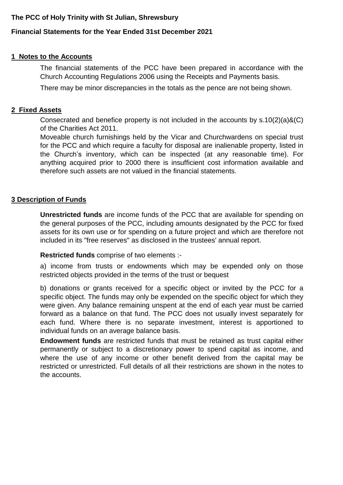# **Financial Statements for the Year Ended 31st December 2021**

# **1 Notes to the Accounts**

The financial statements of the PCC have been prepared in accordance with the Church Accounting Regulations 2006 using the Receipts and Payments basis.

There may be minor discrepancies in the totals as the pence are not being shown.

# **2 Fixed Assets**

Consecrated and benefice property is not included in the accounts by s.10(2)(a)&(C) of the Charities Act 2011.

Moveable church furnishings held by the Vicar and Churchwardens on special trust for the PCC and which require a faculty for disposal are inalienable property, listed in the Church's inventory, which can be inspected (at any reasonable time). For anything acquired prior to 2000 there is insufficient cost information available and therefore such assets are not valued in the financial statements.

### **3 Description of Funds**

**Unrestricted funds** are income funds of the PCC that are available for spending on the general purposes of the PCC, including amounts designated by the PCC for fixed assets for its own use or for spending on a future project and which are therefore not included in its "free reserves" as disclosed in the trustees' annual report.

**Restricted funds** comprise of two elements :-

a) income from trusts or endowments which may be expended only on those restricted objects provided in the terms of the trust or bequest

b) donations or grants received for a specific object or invited by the PCC for a specific object. The funds may only be expended on the specific object for which they were given. Any balance remaining unspent at the end of each year must be carried forward as a balance on that fund. The PCC does not usually invest separately for each fund. Where there is no separate investment, interest is apportioned to individual funds on an average balance basis.

**Endowment funds** are restricted funds that must be retained as trust capital either permanently or subject to a discretionary power to spend capital as income, and where the use of any income or other benefit derived from the capital may be restricted or unrestricted. Full details of all their restrictions are shown in the notes to the accounts.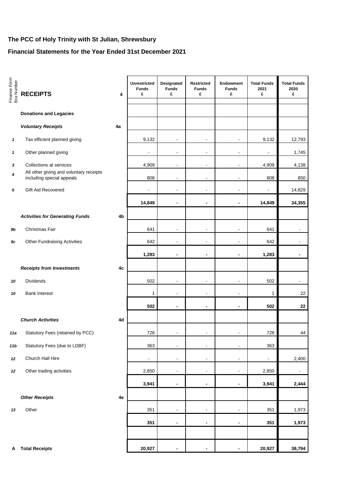# **Financial Statements for the Year Ended 31st December 2021**

| Finance Form<br>Box Number | <b>RECEIPTS</b>                                                      | 4  | <b>Unrestricted</b><br><b>Funds</b><br>£ | Designated<br><b>Funds</b><br>£ | Restricted<br><b>Funds</b><br>£ | Endowment<br><b>Funds</b><br>£ | <b>Total Funds</b><br>2021<br>£ | <b>Total Funds</b><br>2020<br>£ |
|----------------------------|----------------------------------------------------------------------|----|------------------------------------------|---------------------------------|---------------------------------|--------------------------------|---------------------------------|---------------------------------|
|                            | <b>Donations and Legacies</b>                                        |    |                                          |                                 |                                 |                                |                                 |                                 |
|                            | <b>Voluntary Receipts</b>                                            | 4a |                                          |                                 |                                 |                                |                                 |                                 |
| $\mathbf{1}$               | Tax efficient planned giving                                         |    | 9,132                                    | $\blacksquare$                  | $\blacksquare$                  | $\blacksquare$                 | 9,132                           | 12,793                          |
| $\mathbf{1}$               | Other planned giving                                                 |    | $\blacksquare$                           | $\blacksquare$                  | $\blacksquare$                  | $\blacksquare$                 | L,                              | 1,745                           |
| 3                          | Collections at services                                              |    | 4,909                                    | $\blacksquare$                  | $\blacksquare$                  | $\blacksquare$                 | 4,909                           | 4,138                           |
| 4                          | All other giving and voluntary receipts<br>including special appeals |    | 808                                      | $\blacksquare$                  | $\overline{a}$                  | $\blacksquare$                 | 808                             | 850                             |
| 6                          | Gift Aid Recovered                                                   |    | $\overline{a}$                           | $\blacksquare$                  | ä,                              | ÷,                             | $\blacksquare$                  | 14,829                          |
|                            |                                                                      |    | 14,849                                   | $\overline{\phantom{a}}$        | $\blacksquare$                  | $\overline{\phantom{a}}$       | 14,849                          | 34,355                          |
|                            | <b>Activities for Generating Funds</b>                               | 4b |                                          |                                 |                                 |                                |                                 |                                 |
| 9b                         | Christmas Fair                                                       |    | 641                                      | $\blacksquare$                  | $\blacksquare$                  | $\blacksquare$                 | 641                             | $\overline{a}$                  |
| 9c                         | <b>Other Fundraising Activities</b>                                  |    | 642                                      |                                 |                                 | L,                             | 642                             |                                 |
|                            |                                                                      |    | 1,283                                    |                                 | $\blacksquare$                  | $\blacksquare$                 | 1,283                           | $\blacksquare$                  |
|                            | <b>Receipts from Investments</b>                                     | 4c |                                          |                                 |                                 |                                |                                 |                                 |
| 10                         | Dividends                                                            |    | 502                                      | $\blacksquare$                  | $\blacksquare$                  | $\blacksquare$                 | 502                             | $\blacksquare$                  |
| 10                         | <b>Bank Interest</b>                                                 |    | 1                                        | $\blacksquare$                  | $\blacksquare$                  | $\overline{a}$                 | $\mathbf{1}$                    | 22                              |
|                            |                                                                      |    | 502                                      | $\qquad \qquad \blacksquare$    | $\blacksquare$                  | $\blacksquare$                 | 502                             | 22                              |
|                            | <b>Church Activities</b>                                             | 4d |                                          |                                 |                                 |                                |                                 |                                 |
| 11a                        | Statutory Fees (retained by PCC)                                     |    | 728                                      |                                 | $\qquad \qquad \blacksquare$    | $\qquad \qquad \blacksquare$   | 728                             | 44                              |
| 11b                        | Statutory Fees (due to LDBF)                                         |    | 363                                      | ۰                               | $\blacksquare$                  | $\blacksquare$                 | 363                             |                                 |
| 12                         | Church Hall Hire                                                     |    | $\blacksquare$                           | $\blacksquare$                  | $\blacksquare$                  | $\blacksquare$                 | $\blacksquare$                  | 2,400                           |
| 12                         | Other trading activities                                             |    | 2,850                                    | $\blacksquare$                  | $\blacksquare$                  | $\blacksquare$                 | 2,850                           | $\blacksquare$                  |
|                            |                                                                      |    | 3,941                                    | -                               | -                               |                                | 3,941                           | 2,444                           |
|                            | <b>Other Receipts</b>                                                | 4e |                                          |                                 |                                 |                                |                                 |                                 |
| 13                         | Other                                                                |    | 351                                      | $\qquad \qquad \blacksquare$    | $\blacksquare$                  | $\qquad \qquad \blacksquare$   | 351                             | 1,973                           |
|                            |                                                                      |    | 351                                      | -                               | $\overline{\phantom{a}}$        | $\blacksquare$                 | 351                             | 1,973                           |
|                            |                                                                      |    |                                          |                                 |                                 |                                |                                 |                                 |
| A                          | <b>Total Receipts</b>                                                |    | 20,927                                   | $\blacksquare$                  | $\blacksquare$                  | $\blacksquare$                 | 20,927                          | 38,794                          |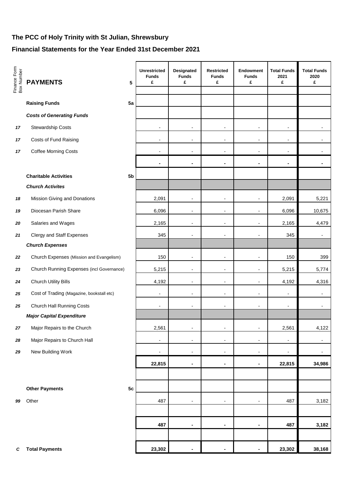# **Financial Statements for the Year Ended 31st December 2021**

| Finance Form<br>Box Number | <b>PAYMENTS</b>                           | 5  | <b>Unrestricted</b><br><b>Funds</b><br>£ | Designated<br><b>Funds</b><br>£ | <b>Restricted</b><br><b>Funds</b><br>£ | <b>Endowment</b><br><b>Funds</b><br>£ | <b>Total Funds</b><br>2021<br>£ | <b>Total Funds</b><br>2020<br>£ |
|----------------------------|-------------------------------------------|----|------------------------------------------|---------------------------------|----------------------------------------|---------------------------------------|---------------------------------|---------------------------------|
|                            | <b>Raising Funds</b>                      | 5a |                                          |                                 |                                        |                                       |                                 |                                 |
|                            | <b>Costs of Generating Funds</b>          |    |                                          |                                 |                                        |                                       |                                 |                                 |
| 17                         | Stewardship Costs                         |    | $\overline{\phantom{a}}$                 | $\overline{\phantom{a}}$        | $\overline{\phantom{a}}$               | $\overline{\phantom{a}}$              | $\overline{\phantom{a}}$        | $\blacksquare$                  |
| 17                         | Costs of Fund Raising                     |    | $\overline{\phantom{a}}$                 | $\overline{\phantom{a}}$        | $\overline{\phantom{a}}$               | $\overline{\phantom{a}}$              | $\overline{\phantom{a}}$        |                                 |
| 17                         | <b>Coffee Morning Costs</b>               |    | $\overline{\phantom{a}}$                 | $\overline{\phantom{a}}$        | $\overline{a}$                         | $\overline{\phantom{a}}$              |                                 |                                 |
|                            |                                           |    |                                          |                                 |                                        |                                       | $\overline{\phantom{a}}$        | $\overline{\phantom{a}}$        |
|                            |                                           |    | $\blacksquare$                           | $\blacksquare$                  | $\blacksquare$                         | ä,                                    |                                 |                                 |
|                            | <b>Charitable Activities</b>              | 5b |                                          |                                 |                                        |                                       |                                 |                                 |
|                            | <b>Church Activites</b>                   |    |                                          |                                 |                                        |                                       |                                 |                                 |
| 18                         | Mission Giving and Donations              |    | 2,091                                    | $\overline{\phantom{m}}$        | $\overline{a}$                         | -                                     | 2,091                           | 5,221                           |
| 19                         | Diocesan Parish Share                     |    | 6,096                                    | $\overline{\phantom{a}}$        | $\overline{a}$                         | $\overline{\phantom{a}}$              | 6,096                           | 10,675                          |
| 20                         | Salaries and Wages                        |    | 2,165                                    | $\overline{\phantom{m}}$        | -                                      | $\overline{\phantom{m}}$              | 2,165                           | 4,479                           |
| 21                         | <b>Clergy and Staff Expenses</b>          |    | 345                                      | $\overline{\phantom{m}}$        | -                                      | $\overline{\phantom{m}}$              | 345                             | $\overline{\phantom{a}}$        |
|                            | <b>Church Expenses</b>                    |    |                                          |                                 |                                        |                                       |                                 |                                 |
| 22                         | Church Expenses (Mission and Evangelism)  |    | 150                                      | $\blacksquare$                  | $\blacksquare$                         | $\overline{\phantom{a}}$              | 150                             | 399                             |
| 23                         | Church Running Expenses (incl Governance) |    | 5,215                                    | $\overline{\phantom{a}}$        | $\overline{\phantom{a}}$               | $\overline{\phantom{a}}$              | 5,215                           | 5,774                           |
| 24                         | <b>Church Utility Bills</b>               |    | 4,192                                    | $\blacksquare$                  | $\blacksquare$                         | $\blacksquare$                        | 4,192                           | 4,316                           |
| 25                         | Cost of Trading (Magazine, bookstall etc) |    | $\overline{\phantom{a}}$                 | $\overline{\phantom{m}}$        | $\overline{\phantom{0}}$               | $\overline{\phantom{m}}$              | $\overline{\phantom{a}}$        | $\overline{\phantom{a}}$        |
| 25                         | Church Hall Running Costs                 |    | $\overline{\phantom{a}}$                 | $\overline{\phantom{m}}$        | $\overline{a}$                         | $\overline{\phantom{m}}$              | $\overline{\phantom{a}}$        | $\overline{\phantom{a}}$        |
|                            | <b>Major Capital Expenditure</b>          |    |                                          |                                 |                                        |                                       |                                 |                                 |
| 27                         | Major Repairs to the Church               |    | 2,561                                    | $\blacksquare$                  | $\overline{\phantom{a}}$               | $\frac{1}{2}$                         | 2,561                           | 4,122                           |
| 28                         | Major Repairs to Church Hall              |    | $\overline{\phantom{a}}$                 | $\overline{\phantom{a}}$        | $\overline{\phantom{a}}$               | $\overline{\phantom{a}}$              | $\overline{\phantom{a}}$        | $\blacksquare$                  |
| 29                         | New Building Work                         |    | $\overline{\phantom{a}}$                 | $\overline{\phantom{a}}$        | $\overline{\phantom{a}}$               | $\frac{1}{2}$                         | $\overline{\phantom{a}}$        | $\overline{\phantom{a}}$        |
|                            |                                           |    | 22,815                                   | ä,                              | ä,                                     | $\blacksquare$                        | 22,815                          | 34,986                          |
|                            |                                           |    |                                          |                                 |                                        |                                       |                                 |                                 |
|                            | <b>Other Payments</b>                     | 5c |                                          |                                 |                                        |                                       |                                 |                                 |
| 99                         | Other                                     |    | 487                                      | $\overline{\phantom{a}}$        | $\overline{\phantom{a}}$               | $\overline{\phantom{a}}$              | 487                             | 3,182                           |
|                            |                                           |    |                                          |                                 |                                        |                                       |                                 |                                 |
|                            |                                           |    | 487                                      | $\qquad \qquad \blacksquare$    | $\blacksquare$                         | $\blacksquare$                        | 487                             | 3,182                           |
|                            |                                           |    |                                          |                                 |                                        |                                       |                                 |                                 |
| C                          | <b>Total Payments</b>                     |    | 23,302                                   | $\blacksquare$                  |                                        |                                       | 23,302                          | 38,168                          |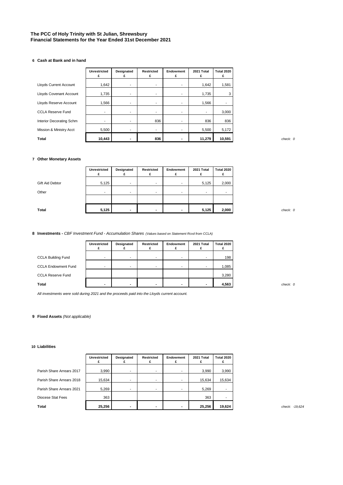#### **The PCC of Holy Trinity with St Julian, Shrewsbury Financial Statements for the Year Ended 31st December 2021**

#### **6 Cash at Bank and in hand**

|                               | <b>Unrestricted</b><br>£ | Designated<br>£ | Restricted<br>£          | Endowment<br>£           | 2021 Total<br>£          | <b>Total 2020</b><br>£ |
|-------------------------------|--------------------------|-----------------|--------------------------|--------------------------|--------------------------|------------------------|
| <b>Lloyds Current Account</b> | 1,642                    |                 | $\overline{\phantom{a}}$ | $\overline{\phantom{a}}$ | 1,642                    | 1,581                  |
| Lloyds Covenant Account       | 1,735                    | ۰.              | $\overline{\phantom{a}}$ | $\overline{\phantom{a}}$ | 1,735                    | 3                      |
| Lloyds Reserve Account        | 1,566                    | -               | $\overline{\phantom{a}}$ | $\overline{\phantom{a}}$ | 1,566                    |                        |
| <b>CCLA Reserve Fund</b>      | $\overline{\phantom{a}}$ | -               | ۰                        | ٠                        | $\overline{\phantom{a}}$ | 3,000                  |
| Interior Decorating Schm      | -                        | -               | 836                      | $\overline{\phantom{a}}$ | 836                      | 836                    |
| Mission & Ministry Acct       | 5,500                    |                 | $\overline{\phantom{a}}$ | $\overline{\phantom{a}}$ | 5,500                    | 5,172                  |
| <b>Total</b>                  | 10,443                   | -               | 836                      | -                        | 11,279                   | 10,591                 |

#### **7 Other Monetary Assets**

|                 | Unrestricted | Designated               | Restricted               | Endowment                | 2021 Total               | Total 2020 |
|-----------------|--------------|--------------------------|--------------------------|--------------------------|--------------------------|------------|
| Gift Aid Debtor | 5,125        | $\overline{\phantom{a}}$ | $\overline{\phantom{0}}$ | $\overline{\phantom{a}}$ | 5,125                    | 2,000      |
| Other           |              | $\blacksquare$           | $\blacksquare$           | $\,$                     | $\overline{\phantom{a}}$ | -          |
|                 |              |                          |                          |                          |                          |            |
| <b>Total</b>    | 5,125        |                          | $\overline{\phantom{a}}$ | $\overline{\phantom{a}}$ | 5,125                    | 2,000      |

**8 Investments -** *CBF Investment Fund - Accumulation Shares (Values based on Statement Rcvd from CCLA)*

|                            | <b>Unrestricted</b> | Designated               | Restricted               | Endowment | 2021 Total               | Total 2020 |
|----------------------------|---------------------|--------------------------|--------------------------|-----------|--------------------------|------------|
| <b>CCLA Building Fund</b>  |                     |                          | -                        | -         | $\overline{\phantom{a}}$ | 198        |
| <b>CCLA Endowment Fund</b> |                     | $\overline{\phantom{a}}$ | $\overline{\phantom{a}}$ | -         | $\overline{\phantom{a}}$ | 1,085      |
| <b>CCLA Reserve Fund</b>   |                     |                          |                          |           |                          | 3,280      |
| Total                      |                     |                          | $\overline{\phantom{a}}$ | -         |                          | 4,563      |

*All investments were sold during 2021 and the proceeds paid into the Lloyds current account.*

#### **9 Fixed Assets** *(Not applicable)*

#### **10 Liabilities**

|                           | <b>Unrestricted</b> | Designated               | Restricted               | Endowment                | 2021 Total | Total 2020 |
|---------------------------|---------------------|--------------------------|--------------------------|--------------------------|------------|------------|
| Parish Share Arrears 2017 | 3,990               | ٠                        | $\overline{\phantom{a}}$ | $\overline{\phantom{a}}$ | 3,990      | 3,990      |
| Parish Share Arrears 2018 | 15,634              | $\overline{\phantom{a}}$ | ۰.                       | ٠                        | 15,634     | 15,634     |
| Parish Share Arrears 2021 | 5,269               | ۰                        | ۰                        | $\overline{\phantom{a}}$ | 5.269      | -          |
| Diocese Stat Fees         | 363                 |                          |                          |                          | 363        |            |
| Total                     | 25,256              |                          | $\overline{\phantom{0}}$ | $\blacksquare$           | 25,256     | 19,624     |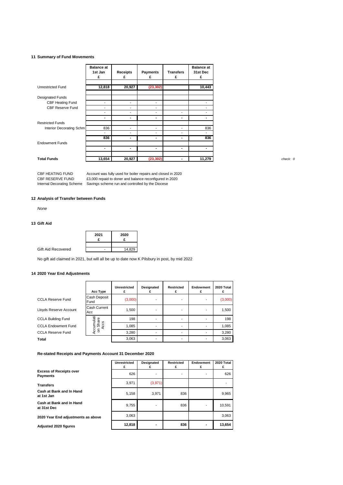#### **11 Summary of Fund Movements**

|                          | <b>Balance at</b><br>1st Jan | <b>Receipts</b>          | Payments                 | <b>Transfers</b>         | <b>Balance at</b><br>31st Dec |
|--------------------------|------------------------------|--------------------------|--------------------------|--------------------------|-------------------------------|
|                          | £                            | £                        | £                        | £                        | £                             |
| <b>Unrestricted Fund</b> | 12,818                       | 20,927                   | (23, 302)                |                          | 10,443                        |
| <b>Designated Funds</b>  |                              |                          |                          |                          |                               |
| CBF Heating Fund         | $\overline{\phantom{a}}$     | ٠                        | $\blacksquare$           |                          | $\overline{\phantom{a}}$      |
| <b>CBF Reserve Fund</b>  | $\overline{\phantom{a}}$     | $\overline{\phantom{a}}$ | $\overline{\phantom{a}}$ |                          | $\overline{\phantom{a}}$      |
|                          | $\overline{\phantom{a}}$     | ٠                        | $\sim$                   | ٠                        | $\overline{\phantom{a}}$      |
|                          | ٠                            | ٠                        | ٠                        | $\blacksquare$           | $\blacksquare$                |
| <b>Restricted Funds</b>  |                              |                          |                          |                          |                               |
| Interior Decorating Schm | 836                          | ٠                        | $\overline{\phantom{a}}$ |                          | 836                           |
|                          | $\overline{\phantom{a}}$     | ٠                        | $\overline{\phantom{a}}$ | $\overline{\phantom{a}}$ |                               |
|                          | 836                          | ٠                        | $\blacksquare$           | ٠                        | 836                           |
| <b>Endowment Funds</b>   |                              |                          |                          |                          |                               |
|                          | ۰                            | ٠                        | ٠                        | ٠                        | ٠                             |
|                          |                              |                          |                          |                          |                               |
| <b>Total Funds</b>       | 13,654                       | 20,927                   | (23, 302)                | ٠                        | 11,279                        |

CBF HEATING FUND CBF RESERVE FUND Internal Decorating Scheme Savings scheme run and controlled by the Diocese Account was fully used for boiler repairs and closed in 2020 £3,000 repaid to doner and balance reconfigured in 2020

#### **12 Analysis of Transfer between Funds**

*None*

#### **13 Gift Aid**

|                    | 2021 | 2020   |
|--------------------|------|--------|
|                    |      |        |
| Gift Aid Recovered |      | 14,829 |

No gift aid claimed in 2021, but will all be up to date now K Pilsbury in post, by mid 2022

#### **14 2020 Year End Adjustments**

|                            | Acc Type                   | Unrestricted | Designated | <b>Restricted</b> | Endowment | 2020 Total |
|----------------------------|----------------------------|--------------|------------|-------------------|-----------|------------|
| <b>CCLA Reserve Fund</b>   | Cash Deposit<br>Fund       | (3,000)      |            |                   |           | (3,000)    |
| Lloyds Reserve Account     | Cash Current<br>Acc        | 1,500        | -          |                   |           | 1,500      |
| <b>CCLA Building Fund</b>  | ō                          | 198          |            |                   |           | 198        |
| <b>CCLA Endowment Fund</b> | Accumulati<br>Shar<br>Accs | 1,085        | ۰          |                   |           | 1,085      |
| <b>CCLA Reserve Fund</b>   | $\mathbf{5}$               | 3,280        |            |                   |           | 3,280      |
| <b>Total</b>               |                            | 3,063        |            |                   |           | 3,063      |

#### **Re-stated Receipts and Payments Account 31 December 2020**

|                                                   | <b>Unrestricted</b><br>£ | Designated               | <b>Restricted</b> | Endowment<br>£ | 2020 Total |
|---------------------------------------------------|--------------------------|--------------------------|-------------------|----------------|------------|
| <b>Excess of Receipts over</b><br><b>Payments</b> | 626                      |                          |                   |                | 626        |
| <b>Transfers</b>                                  | 3,971                    | (3,971)                  |                   |                |            |
| Cash at Bank and In Hand<br>at 1st Jan            | 5,158                    | 3.971                    | 836               |                | 9,965      |
| Cash at Bank and In Hand<br>at 31st Dec           | 9,755                    | ۰                        | 836               |                | 10,591     |
| 2020 Year End adjustments as above                | 3,063                    |                          |                   |                | 3,063      |
| <b>Adiusted 2020 figures</b>                      | 12,818                   | $\overline{\phantom{0}}$ | 836               |                | 13,654     |